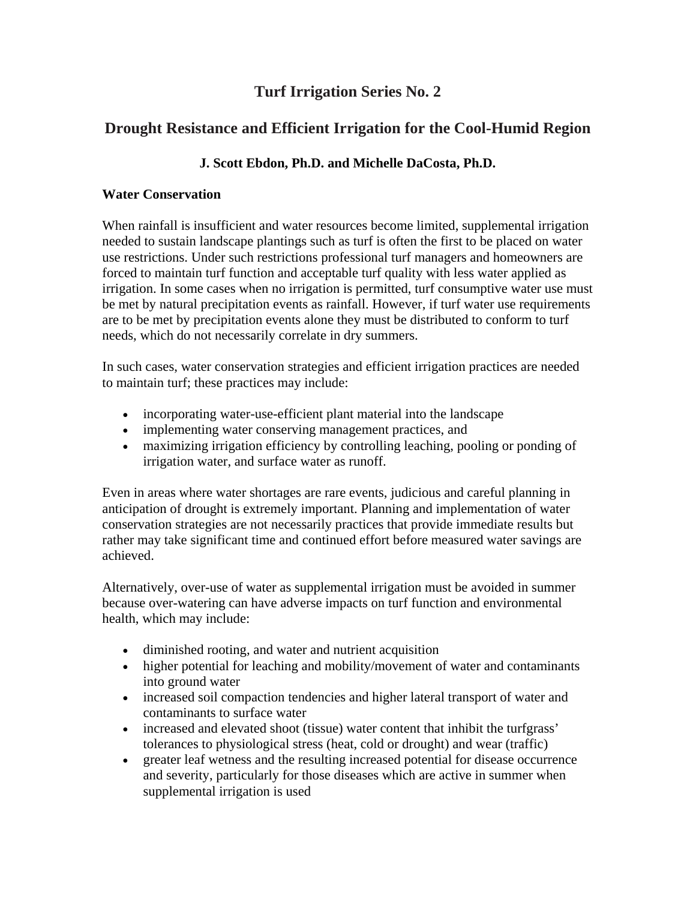# **Turf Irrigation Series No. 2**

# **Drought Resistance and Efficient Irrigation for the Cool-Humid Region**

## **J. Scott Ebdon, Ph.D. and Michelle DaCosta, Ph.D.**

#### **Water Conservation**

When rainfall is insufficient and water resources become limited, supplemental irrigation needed to sustain landscape plantings such as turf is often the first to be placed on water use restrictions. Under such restrictions professional turf managers and homeowners are forced to maintain turf function and acceptable turf quality with less water applied as irrigation. In some cases when no irrigation is permitted, turf consumptive water use must be met by natural precipitation events as rainfall. However, if turf water use requirements are to be met by precipitation events alone they must be distributed to conform to turf needs, which do not necessarily correlate in dry summers.

In such cases, water conservation strategies and efficient irrigation practices are needed to maintain turf; these practices may include:

- incorporating water-use-efficient plant material into the landscape
- implementing water conserving management practices, and
- maximizing irrigation efficiency by controlling leaching, pooling or ponding of irrigation water, and surface water as runoff.

Even in areas where water shortages are rare events, judicious and careful planning in anticipation of drought is extremely important. Planning and implementation of water conservation strategies are not necessarily practices that provide immediate results but rather may take significant time and continued effort before measured water savings are achieved.

Alternatively, over-use of water as supplemental irrigation must be avoided in summer because over-watering can have adverse impacts on turf function and environmental health, which may include:

- diminished rooting, and water and nutrient acquisition
- higher potential for leaching and mobility/movement of water and contaminants into ground water
- increased soil compaction tendencies and higher lateral transport of water and contaminants to surface water
- increased and elevated shoot (tissue) water content that inhibit the turfgrass' tolerances to physiological stress (heat, cold or drought) and wear (traffic)
- greater leaf wetness and the resulting increased potential for disease occurrence and severity, particularly for those diseases which are active in summer when supplemental irrigation is used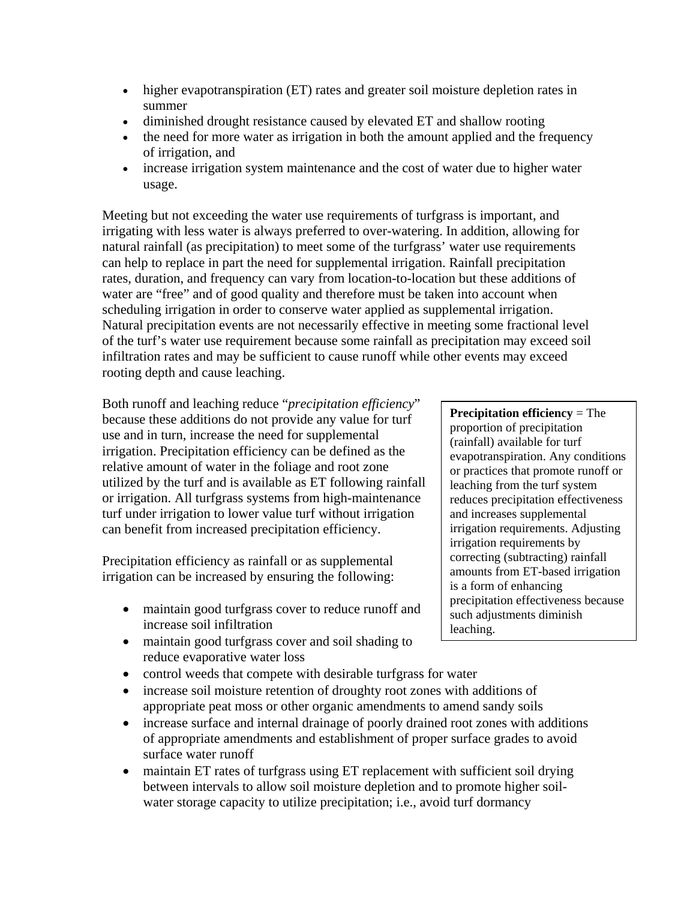- higher evapotranspiration (ET) rates and greater soil moisture depletion rates in summer
- diminished drought resistance caused by elevated ET and shallow rooting
- the need for more water as irrigation in both the amount applied and the frequency of irrigation, and
- increase irrigation system maintenance and the cost of water due to higher water usage.

Meeting but not exceeding the water use requirements of turfgrass is important, and irrigating with less water is always preferred to over-watering. In addition, allowing for natural rainfall (as precipitation) to meet some of the turfgrass' water use requirements can help to replace in part the need for supplemental irrigation. Rainfall precipitation rates, duration, and frequency can vary from location-to-location but these additions of water are "free" and of good quality and therefore must be taken into account when scheduling irrigation in order to conserve water applied as supplemental irrigation. Natural precipitation events are not necessarily effective in meeting some fractional level of the turf's water use requirement because some rainfall as precipitation may exceed soil infiltration rates and may be sufficient to cause runoff while other events may exceed rooting depth and cause leaching.

Both runoff and leaching reduce "*precipitation efficiency*" because these additions do not provide any value for turf use and in turn, increase the need for supplemental irrigation. Precipitation efficiency can be defined as the relative amount of water in the foliage and root zone utilized by the turf and is available as ET following rainfall or irrigation. All turfgrass systems from high-maintenance turf under irrigation to lower value turf without irrigation can benefit from increased precipitation efficiency.

Precipitation efficiency as rainfall or as supplemental irrigation can be increased by ensuring the following:

- maintain good turfgrass cover to reduce runoff and increase soil infiltration
- maintain good turfgrass cover and soil shading to reduce evaporative water loss
- control weeds that compete with desirable turfgrass for water
- increase soil moisture retention of droughty root zones with additions of appropriate peat moss or other organic amendments to amend sandy soils
- increase surface and internal drainage of poorly drained root zones with additions of appropriate amendments and establishment of proper surface grades to avoid surface water runoff
- maintain ET rates of turfgrass using ET replacement with sufficient soil drying between intervals to allow soil moisture depletion and to promote higher soilwater storage capacity to utilize precipitation; i.e., avoid turf dormancy

**Precipitation efficiency** = The proportion of precipitation (rainfall) available for turf evapotranspiration. Any conditions or practices that promote runoff or leaching from the turf system reduces precipitation effectiveness and increases supplemental irrigation requirements. Adjusting irrigation requirements by correcting (subtracting) rainfall amounts from ET-based irrigation is a form of enhancing precipitation effectiveness because such adjustments diminish leaching.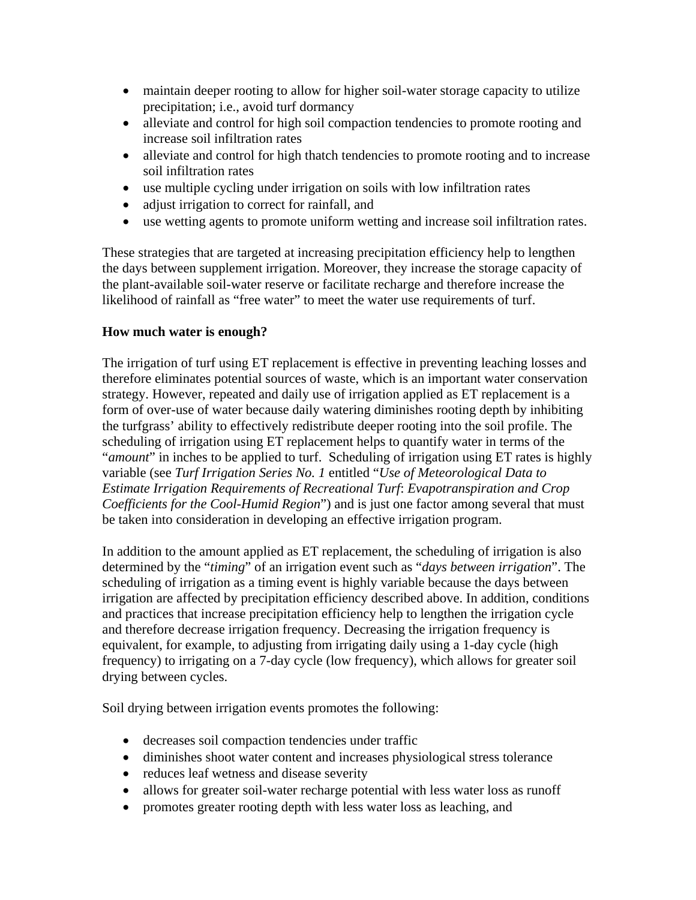- maintain deeper rooting to allow for higher soil-water storage capacity to utilize precipitation; i.e., avoid turf dormancy
- alleviate and control for high soil compaction tendencies to promote rooting and increase soil infiltration rates
- alleviate and control for high thatch tendencies to promote rooting and to increase soil infiltration rates
- use multiple cycling under irrigation on soils with low infiltration rates
- adjust irrigation to correct for rainfall, and
- use wetting agents to promote uniform wetting and increase soil infiltration rates.

These strategies that are targeted at increasing precipitation efficiency help to lengthen the days between supplement irrigation. Moreover, they increase the storage capacity of the plant-available soil-water reserve or facilitate recharge and therefore increase the likelihood of rainfall as "free water" to meet the water use requirements of turf.

### **How much water is enough?**

The irrigation of turf using ET replacement is effective in preventing leaching losses and therefore eliminates potential sources of waste, which is an important water conservation strategy. However, repeated and daily use of irrigation applied as ET replacement is a form of over-use of water because daily watering diminishes rooting depth by inhibiting the turfgrass' ability to effectively redistribute deeper rooting into the soil profile. The scheduling of irrigation using ET replacement helps to quantify water in terms of the "*amount*" in inches to be applied to turf. Scheduling of irrigation using ET rates is highly variable (see *Turf Irrigation Series No. 1* entitled "*Use of Meteorological Data to Estimate Irrigation Requirements of Recreational Turf*: *Evapotranspiration and Crop Coefficients for the Cool-Humid Region*") and is just one factor among several that must be taken into consideration in developing an effective irrigation program.

In addition to the amount applied as ET replacement, the scheduling of irrigation is also determined by the "*timing*" of an irrigation event such as "*days between irrigation*". The scheduling of irrigation as a timing event is highly variable because the days between irrigation are affected by precipitation efficiency described above. In addition, conditions and practices that increase precipitation efficiency help to lengthen the irrigation cycle and therefore decrease irrigation frequency. Decreasing the irrigation frequency is equivalent, for example, to adjusting from irrigating daily using a 1-day cycle (high frequency) to irrigating on a 7-day cycle (low frequency), which allows for greater soil drying between cycles.

Soil drying between irrigation events promotes the following:

- decreases soil compaction tendencies under traffic
- diminishes shoot water content and increases physiological stress tolerance
- reduces leaf wetness and disease severity
- allows for greater soil-water recharge potential with less water loss as runoff
- promotes greater rooting depth with less water loss as leaching, and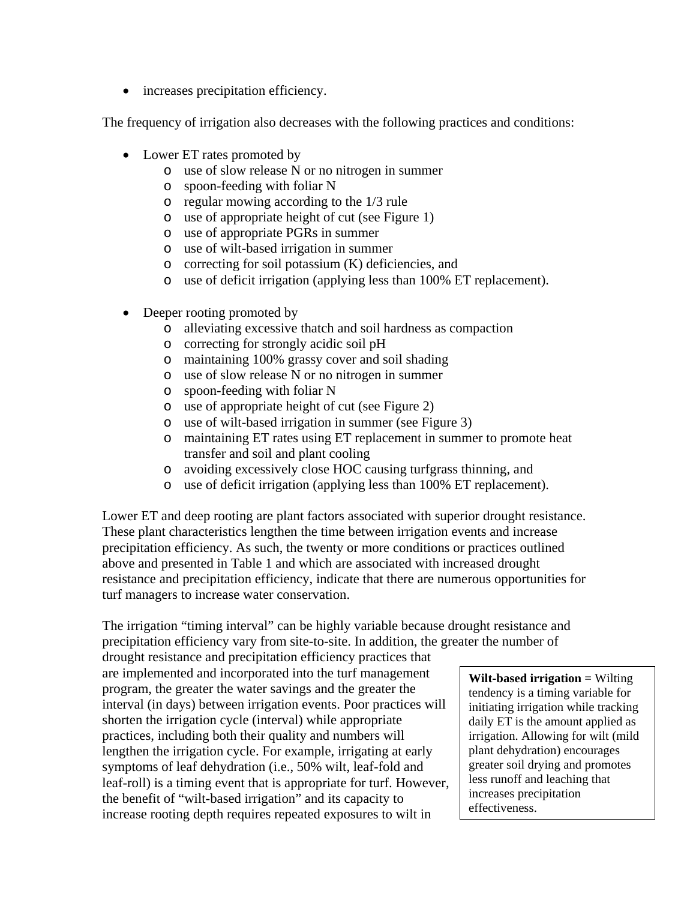• increases precipitation efficiency.

The frequency of irrigation also decreases with the following practices and conditions:

- Lower ET rates promoted by
	- o use of slow release N or no nitrogen in summer
	- o spoon-feeding with foliar N
	- o regular mowing according to the 1/3 rule
	- o use of appropriate height of cut (see Figure 1)
	- o use of appropriate PGRs in summer
	- o use of wilt-based irrigation in summer
	- o correcting for soil potassium (K) deficiencies, and
	- o use of deficit irrigation (applying less than 100% ET replacement).
- Deeper rooting promoted by
	- o alleviating excessive thatch and soil hardness as compaction
	- o correcting for strongly acidic soil pH
	- o maintaining 100% grassy cover and soil shading
	- o use of slow release N or no nitrogen in summer
	- o spoon-feeding with foliar N
	- o use of appropriate height of cut (see Figure 2)
	- o use of wilt-based irrigation in summer (see Figure 3)
	- o maintaining ET rates using ET replacement in summer to promote heat transfer and soil and plant cooling
	- o avoiding excessively close HOC causing turfgrass thinning, and
	- o use of deficit irrigation (applying less than 100% ET replacement).

Lower ET and deep rooting are plant factors associated with superior drought resistance. These plant characteristics lengthen the time between irrigation events and increase precipitation efficiency. As such, the twenty or more conditions or practices outlined above and presented in Table 1 and which are associated with increased drought resistance and precipitation efficiency, indicate that there are numerous opportunities for turf managers to increase water conservation.

The irrigation "timing interval" can be highly variable because drought resistance and precipitation efficiency vary from site-to-site. In addition, the greater the number of

drought resistance and precipitation efficiency practices that are implemented and incorporated into the turf management program, the greater the water savings and the greater the interval (in days) between irrigation events. Poor practices will shorten the irrigation cycle (interval) while appropriate practices, including both their quality and numbers will lengthen the irrigation cycle. For example, irrigating at early symptoms of leaf dehydration (i.e., 50% wilt, leaf-fold and leaf-roll) is a timing event that is appropriate for turf. However, the benefit of "wilt-based irrigation" and its capacity to increase rooting depth requires repeated exposures to wilt in

**Wilt-based irrigation** = Wilting tendency is a timing variable for initiating irrigation while tracking daily ET is the amount applied as irrigation. Allowing for wilt (mild plant dehydration) encourages greater soil drying and promotes less runoff and leaching that increases precipitation effectiveness.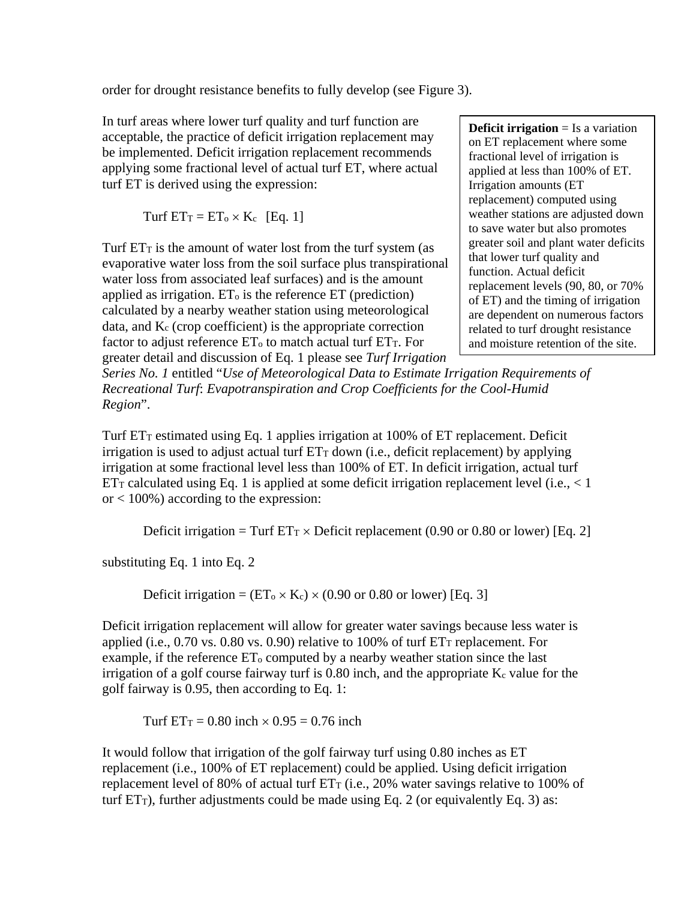order for drought resistance benefits to fully develop (see Figure 3).

In turf areas where lower turf quality and turf function are acceptable, the practice of deficit irrigation replacement may be implemented. Deficit irrigation replacement recommends applying some fractional level of actual turf ET, where actual turf ET is derived using the expression:

Turf  $ET_T = ET_0 \times K_c$  [Eq. 1]

Turf  $ET_T$  is the amount of water lost from the turf system (as evaporative water loss from the soil surface plus transpirational water loss from associated leaf surfaces) and is the amount applied as irrigation.  $ET_0$  is the reference  $ET$  (prediction) calculated by a nearby weather station using meteorological data, and  $K_c$  (crop coefficient) is the appropriate correction factor to adjust reference  $ET_0$  to match actual turf  $ET_T$ . For greater detail and discussion of Eq. 1 please see *Turf Irrigation* 

**Deficit irrigation** = Is a variation on ET replacement where some fractional level of irrigation is applied at less than 100% of ET. Irrigation amounts (ET replacement) computed using weather stations are adjusted down to save water but also promotes greater soil and plant water deficits that lower turf quality and function. Actual deficit replacement levels (90, 80, or 70% of ET) and the timing of irrigation are dependent on numerous factors related to turf drought resistance and moisture retention of the site.

*Series No. 1* entitled "*Use of Meteorological Data to Estimate Irrigation Requirements of Recreational Turf*: *Evapotranspiration and Crop Coefficients for the Cool-Humid Region*".

Turf  $ET_T$  estimated using Eq. 1 applies irrigation at 100% of ET replacement. Deficit irrigation is used to adjust actual turf  $ET<sub>T</sub>$  down (i.e., deficit replacement) by applying irrigation at some fractional level less than 100% of ET. In deficit irrigation, actual turf ET<sub>T</sub> calculated using Eq. 1 is applied at some deficit irrigation replacement level (i.e.,  $< 1$ ) or < 100%) according to the expression:

Deficit irrigation = Turf  $ET_T \times$  Deficit replacement (0.90 or 0.80 or lower) [Eq. 2]

substituting Eq. 1 into Eq. 2

Deficit irrigation =  $(ET_0 \times K_c) \times (0.90 \text{ or } 0.80 \text{ or lower})$  [Eq. 3]

Deficit irrigation replacement will allow for greater water savings because less water is applied (i.e.,  $0.70$  vs.  $0.80$  vs.  $0.90$ ) relative to 100% of turf  $ET_T$  replacement. For example, if the reference  $ET_0$  computed by a nearby weather station since the last irrigation of a golf course fairway turf is  $0.80$  inch, and the appropriate  $K_c$  value for the golf fairway is 0.95, then according to Eq. 1:

Turf  $ET_T = 0.80$  inch  $\times 0.95 = 0.76$  inch

It would follow that irrigation of the golf fairway turf using 0.80 inches as ET replacement (i.e., 100% of ET replacement) could be applied. Using deficit irrigation replacement level of 80% of actual turf  $ET_{T}$  (i.e., 20% water savings relative to 100% of turf  $ET_T$ ), further adjustments could be made using Eq. 2 (or equivalently Eq. 3) as: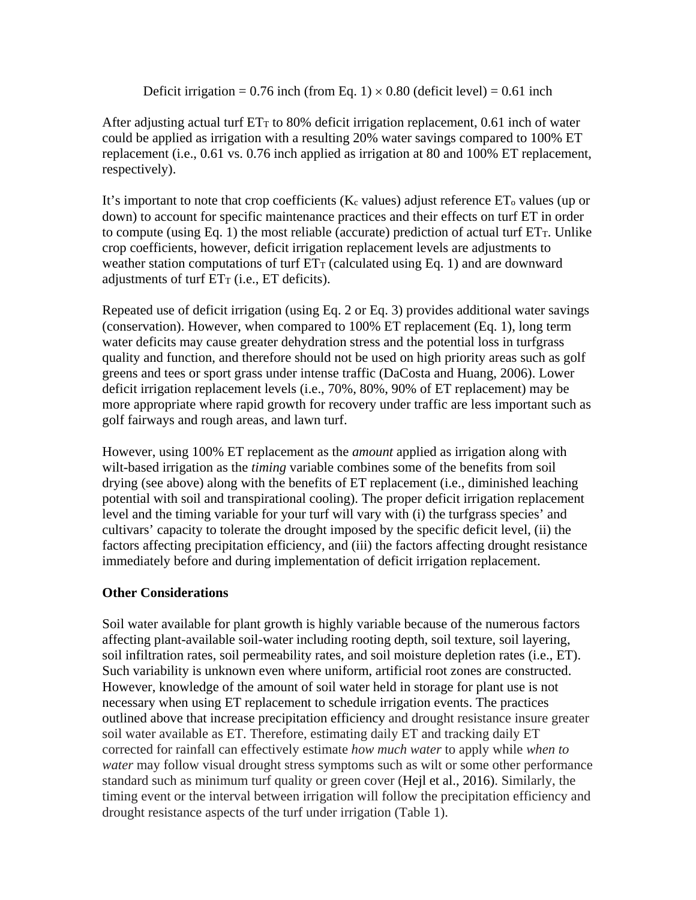Deficit irrigation = 0.76 inch (from Eq. 1)  $\times$  0.80 (deficit level) = 0.61 inch

After adjusting actual turf  $ET_T$  to 80% deficit irrigation replacement, 0.61 inch of water could be applied as irrigation with a resulting 20% water savings compared to 100% ET replacement (i.e., 0.61 vs. 0.76 inch applied as irrigation at 80 and 100% ET replacement, respectively).

It's important to note that crop coefficients ( $K_c$  values) adjust reference  $ET_o$  values (up or down) to account for specific maintenance practices and their effects on turf ET in order to compute (using Eq. 1) the most reliable (accurate) prediction of actual turf  $ET<sub>T</sub>$ . Unlike crop coefficients, however, deficit irrigation replacement levels are adjustments to weather station computations of turf  $ET<sub>T</sub>$  (calculated using Eq. 1) and are downward adjustments of turf  $ET_T$  (i.e.,  $ET$  deficits).

Repeated use of deficit irrigation (using Eq. 2 or Eq. 3) provides additional water savings (conservation). However, when compared to 100% ET replacement (Eq. 1), long term water deficits may cause greater dehydration stress and the potential loss in turfgrass quality and function, and therefore should not be used on high priority areas such as golf greens and tees or sport grass under intense traffic (DaCosta and Huang, 2006). Lower deficit irrigation replacement levels (i.e., 70%, 80%, 90% of ET replacement) may be more appropriate where rapid growth for recovery under traffic are less important such as golf fairways and rough areas, and lawn turf.

However, using 100% ET replacement as the *amount* applied as irrigation along with wilt-based irrigation as the *timing* variable combines some of the benefits from soil drying (see above) along with the benefits of ET replacement (i.e., diminished leaching potential with soil and transpirational cooling). The proper deficit irrigation replacement level and the timing variable for your turf will vary with (i) the turfgrass species' and cultivars' capacity to tolerate the drought imposed by the specific deficit level, (ii) the factors affecting precipitation efficiency, and (iii) the factors affecting drought resistance immediately before and during implementation of deficit irrigation replacement.

### **Other Considerations**

Soil water available for plant growth is highly variable because of the numerous factors affecting plant-available soil-water including rooting depth, soil texture, soil layering, soil infiltration rates, soil permeability rates, and soil moisture depletion rates (i.e., ET). Such variability is unknown even where uniform, artificial root zones are constructed. However, knowledge of the amount of soil water held in storage for plant use is not necessary when using ET replacement to schedule irrigation events. The practices outlined above that increase precipitation efficiency and drought resistance insure greater soil water available as ET. Therefore, estimating daily ET and tracking daily ET corrected for rainfall can effectively estimate *how much water* to apply while *when to water* may follow visual drought stress symptoms such as wilt or some other performance standard such as minimum turf quality or green cover (Hejl et al., 2016). Similarly, the timing event or the interval between irrigation will follow the precipitation efficiency and drought resistance aspects of the turf under irrigation (Table 1).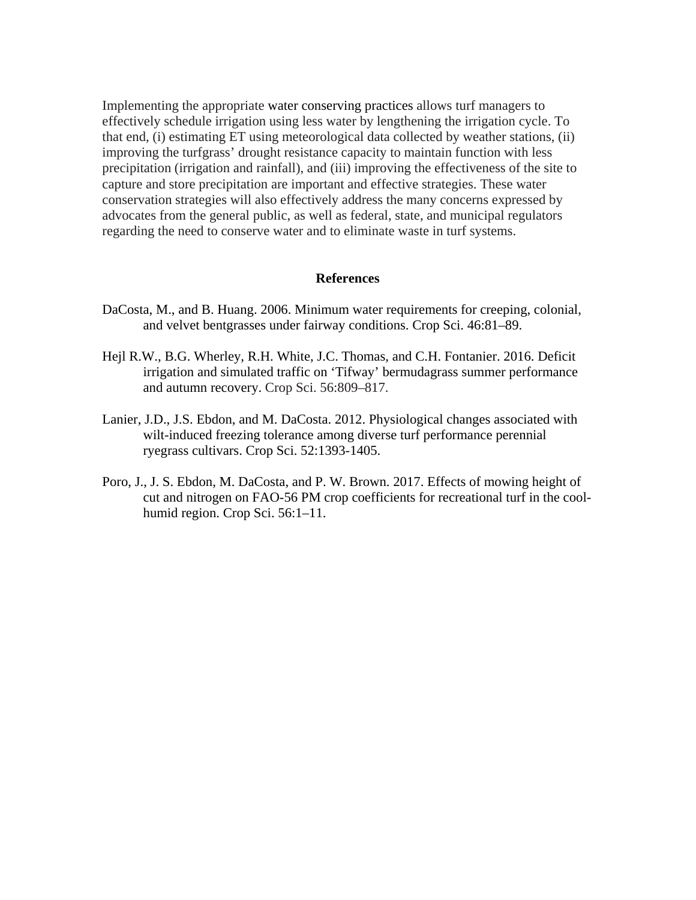Implementing the appropriate water conserving practices allows turf managers to effectively schedule irrigation using less water by lengthening the irrigation cycle. To that end, (i) estimating ET using meteorological data collected by weather stations, (ii) improving the turfgrass' drought resistance capacity to maintain function with less precipitation (irrigation and rainfall), and (iii) improving the effectiveness of the site to capture and store precipitation are important and effective strategies. These water conservation strategies will also effectively address the many concerns expressed by advocates from the general public, as well as federal, state, and municipal regulators regarding the need to conserve water and to eliminate waste in turf systems.

#### **References**

- DaCosta, M., and B. Huang. 2006. Minimum water requirements for creeping, colonial, and velvet bentgrasses under fairway conditions. Crop Sci. 46:81–89.
- Hejl R.W., B.G. Wherley, R.H. White, J.C. Thomas, and C.H. Fontanier. 2016. Deficit irrigation and simulated traffic on 'Tifway' bermudagrass summer performance and autumn recovery. Crop Sci. 56:809–817.
- Lanier, J.D., J.S. Ebdon, and M. DaCosta. 2012. Physiological changes associated with wilt-induced freezing tolerance among diverse turf performance perennial ryegrass cultivars. Crop Sci. 52:1393-1405.
- Poro, J., J. S. Ebdon, M. DaCosta, and P. W. Brown. 2017. Effects of mowing height of cut and nitrogen on FAO-56 PM crop coefficients for recreational turf in the coolhumid region. Crop Sci. 56:1–11.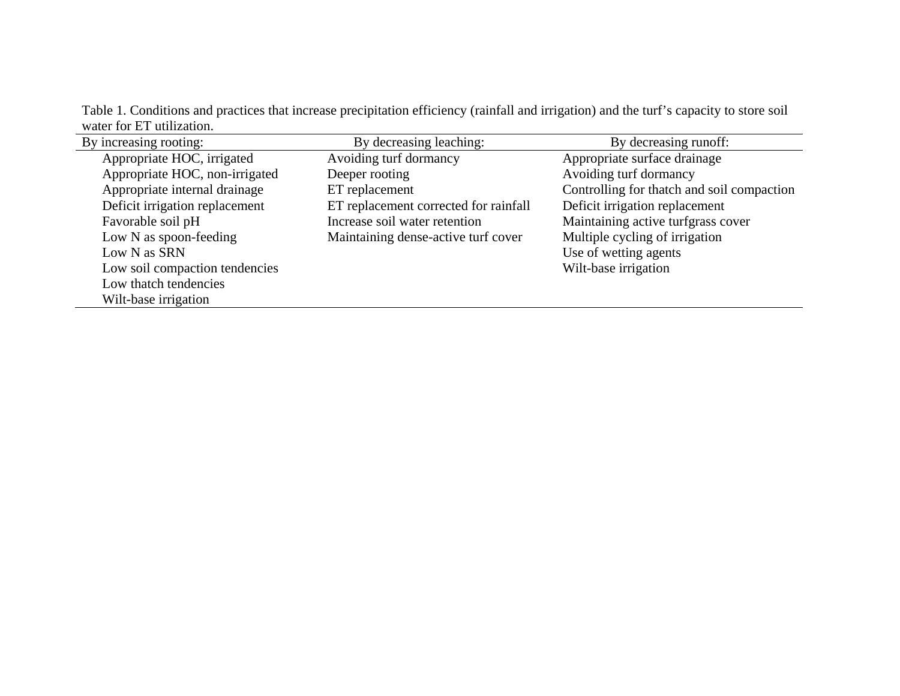Table 1. Conditions and practices that increase precipitation efficiency (rainfall and irrigation) and the turf's capacity to store soil water for ET utilization.

| By increasing rooting:         | By decreasing leaching:               | By decreasing runoff:                      |
|--------------------------------|---------------------------------------|--------------------------------------------|
| Appropriate HOC, irrigated     | Avoiding turf dormancy                | Appropriate surface drainage               |
| Appropriate HOC, non-irrigated | Deeper rooting                        | Avoiding turf dormancy                     |
| Appropriate internal drainage  | ET replacement                        | Controlling for thatch and soil compaction |
| Deficit irrigation replacement | ET replacement corrected for rainfall | Deficit irrigation replacement             |
| Favorable soil pH              | Increase soil water retention         | Maintaining active turfgrass cover         |
| Low N as spoon-feeding         | Maintaining dense-active turf cover   | Multiple cycling of irrigation             |
| Low N as SRN                   |                                       | Use of wetting agents                      |
| Low soil compaction tendencies |                                       | Wilt-base irrigation                       |
| Low thatch tendencies          |                                       |                                            |
| Wilt-base irrigation           |                                       |                                            |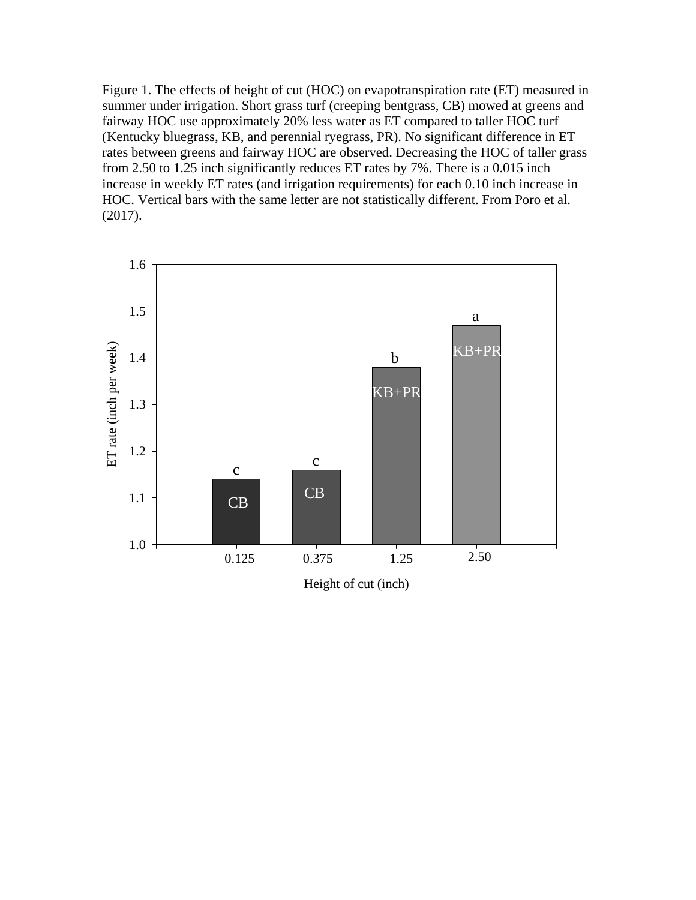Figure 1. The effects of height of cut (HOC) on evapotranspiration rate (ET) measured in summer under irrigation. Short grass turf (creeping bentgrass, CB) mowed at greens and fairway HOC use approximately 20% less water as ET compared to taller HOC turf (Kentucky bluegrass, KB, and perennial ryegrass, PR). No significant difference in ET rates between greens and fairway HOC are observed. Decreasing the HOC of taller grass from 2.50 to 1.25 inch significantly reduces ET rates by 7%. There is a 0.015 inch increase in weekly ET rates (and irrigation requirements) for each 0.10 inch increase in HOC. Vertical bars with the same letter are not statistically different. From Poro et al. (2017).

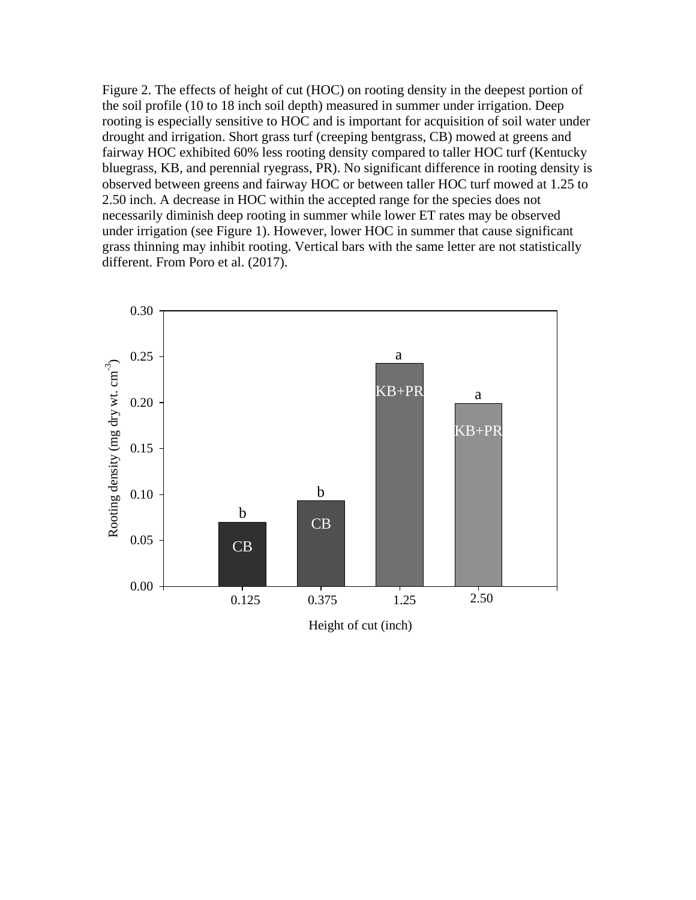Figure 2. The effects of height of cut (HOC) on rooting density in the deepest portion of the soil profile (10 to 18 inch soil depth) measured in summer under irrigation. Deep rooting is especially sensitive to HOC and is important for acquisition of soil water under drought and irrigation. Short grass turf (creeping bentgrass, CB) mowed at greens and fairway HOC exhibited 60% less rooting density compared to taller HOC turf (Kentucky bluegrass, KB, and perennial ryegrass, PR). No significant difference in rooting density is observed between greens and fairway HOC or between taller HOC turf mowed at 1.25 to 2.50 inch. A decrease in HOC within the accepted range for the species does not necessarily diminish deep rooting in summer while lower ET rates may be observed under irrigation (see Figure 1). However, lower HOC in summer that cause significant grass thinning may inhibit rooting. Vertical bars with the same letter are not statistically different. From Poro et al. (2017).